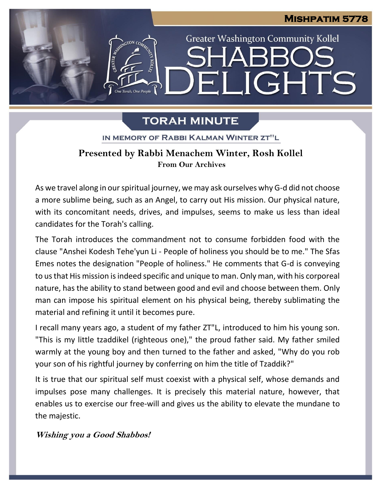# **Mishpatim 5778**

**Greater Washington Community Kollel** 

LIGHTS

# **TORAH MINUTE**

┥║

GTON CO

One Torah. One People

IN MEMORY OF RABBI KALMAN WINTER ZT"L ֖֚֚֬֝

## **Presented by Rabbi Menachem Winter, Rosh Kollel From Our Archives**

As we travel along in our spiritual journey, we may ask ourselves why G-d did not choose a more sublime being, such as an Angel, to carry out His mission. Our physical nature, with its concomitant needs, drives, and impulses, seems to make us less than ideal candidates for the Torah's calling.

The Torah introduces the commandment not to consume forbidden food with the clause "Anshei Kodesh Tehe'yun Li - People of holiness you should be to me." The Sfas Emes notes the designation "People of holiness." He comments that G-d is conveying to us that His mission is indeed specific and unique to man. Only man, with his corporeal nature, has the ability to stand between good and evil and choose between them. Only man can impose his spiritual element on his physical being, thereby sublimating the material and refining it until it becomes pure.

I recall many years ago, a student of my father ZT"L, introduced to him his young son. "This is my little tzaddikel (righteous one)," the proud father said. My father smiled warmly at the young boy and then turned to the father and asked, "Why do you rob your son of his rightful journey by conferring on him the title of Tzaddik?"

It is true that our spiritual self must coexist with a physical self, whose demands and impulses pose many challenges. It is precisely this material nature, however, that enables us to exercise our free-will and gives us the ability to elevate the mundane to the majestic.

**Wishing you <sup>a</sup> Good Shabbos!**